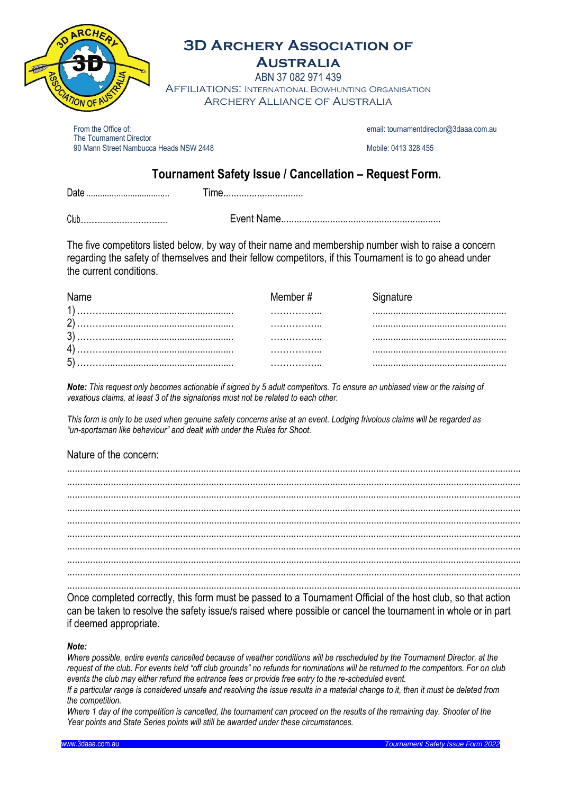

# **3D Archery Association of**

## **Australia**

ABN 37 082 971 439 Affiliations: International Bowhunting Organisation Archery Alliance of Australia

From the Office of: email[: tournamentdirector@3daaa.com.au](mailto:tournamentdirector@3daaa.com.au) email: tournamentdirector@3daaa.com.au The Tournament Director 90 Mann Street Nambucca Heads NSW 2448 Mobile: 0413 328 455

### **Tournament Safety Issue / Cancellation – Request Form.**

Date .................................... Time...............................

Club....................................................... Event Name..............................................................

The five competitors listed below, by way of their name and membership number wish to raise a concern regarding the safety of themselves and their fellow competitors, if this Tournament is to go ahead under the current conditions.

| Name         |  | Member # |  |
|--------------|--|----------|--|
| $\mathbf{A}$ |  |          |  |
|              |  |          |  |
|              |  |          |  |
|              |  |          |  |
| г,           |  |          |  |

*Note: This request only becomes actionable if signed by 5 adult competitors. To ensure an unbiased view or the raising of vexatious claims, at least 3 of the signatories must not be related to each other.*

*This form is only to be used when genuine safety concerns arise at an event. Lodging frivolous claims will be regarded as "un-sportsman like behaviour" and dealt with under the Rules for Shoot.*

#### Nature of the concern:

Once completed correctly, this form must be passed to a Tournament Official of the host club, so that action can be taken to resolve the safety issue/s raised where possible or cancel the tournament in whole or in part if deemed appropriate.

#### *Note:*

Where possible, entire events cancelled because of weather conditions will be rescheduled by the Tournament Director, at the *request of the club. For events held "off club grounds" no refunds for nominations will be returned to the competitors. For on club events the club may either refund the entrance fees or provide free entry to the re-scheduled event.*

*If a particular range is considered unsafe and resolving the issue results in a material change to it, then it must be deleted from the competition.*

*Where 1 day of the competition is cancelled, the tournament can proceed on the results of the remaining day. Shooter of the Year points and State Series points will still be awarded under these circumstances.*